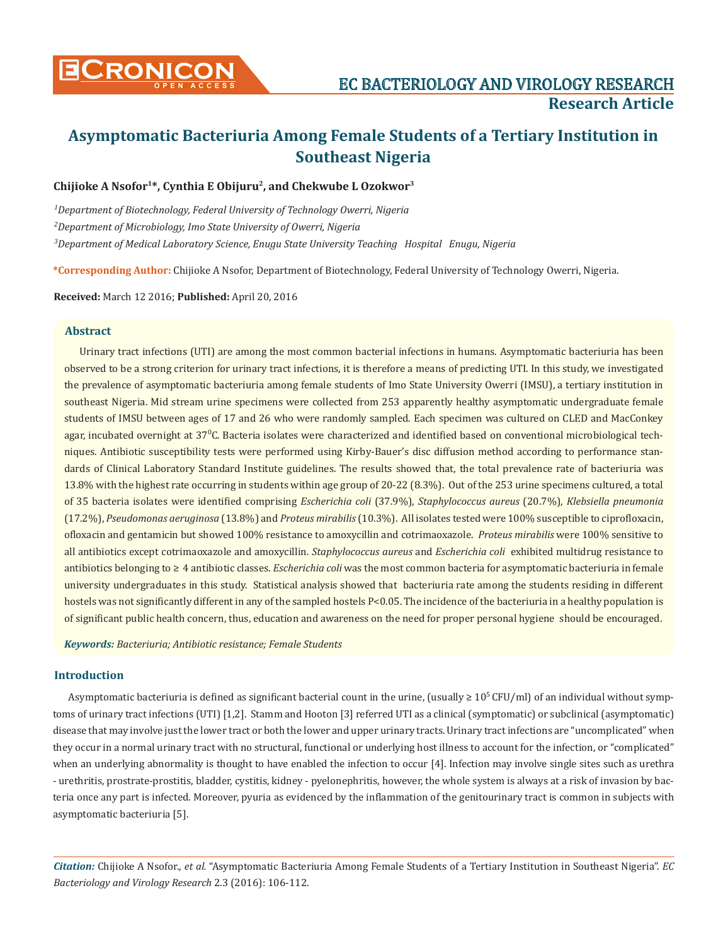

# **Chijioke A Nsofor1\*, Cynthia E Obijuru2, and Chekwube L Ozokwor3**

*1 Department of Biotechnology, Federal University of Technology Owerri, Nigeria 2 Department of Microbiology, Imo State University of Owerri, Nigeria 3 Department of Medical Laboratory Science, Enugu State University Teaching Hospital Enugu, Nigeria*

**\*Corresponding Author:** Chijioke A Nsofor, Department of Biotechnology, Federal University of Technology Owerri, Nigeria.

**Received:** March 12 2016; **Published:** April 20, 2016

# **Abstract**

Urinary tract infections (UTI) are among the most common bacterial infections in humans. Asymptomatic bacteriuria has been observed to be a strong criterion for urinary tract infections, it is therefore a means of predicting UTI. In this study, we investigated the prevalence of asymptomatic bacteriuria among female students of Imo State University Owerri (IMSU), a tertiary institution in southeast Nigeria. Mid stream urine specimens were collected from 253 apparently healthy asymptomatic undergraduate female students of IMSU between ages of 17 and 26 who were randomly sampled. Each specimen was cultured on CLED and MacConkey agar, incubated overnight at 37ºC. Bacteria isolates were characterized and identified based on conventional microbiological techniques. Antibiotic susceptibility tests were performed using Kirby-Bauer's disc diffusion method according to performance standards of Clinical Laboratory Standard Institute guidelines. The results showed that, the total prevalence rate of bacteriuria was 13.8% with the highest rate occurring in students within age group of 20-22 (8.3%). Out of the 253 urine specimens cultured, a total of 35 bacteria isolates were identified comprising *Escherichia coli* (37.9%), *Staphylococcus aureus* (20.7%), *Klebsiella pneumonia*  (17.2%), *Pseudomonas aeruginosa* (13.8%) and *Proteus mirabilis* (10.3%). All isolates tested were 100% susceptible to ciprofloxacin, ofloxacin and gentamicin but showed 100% resistance to amoxycillin and cotrimaoxazole. *Proteus mirabilis* were 100% sensitive to all antibiotics except cotrimaoxazole and amoxycillin. *Staphylococcus aureus* and *Escherichia coli* exhibited multidrug resistance to antibiotics belonging to ≥ 4 antibiotic classes. *Escherichia coli* was the most common bacteria for asymptomatic bacteriuria in female university undergraduates in this study. Statistical analysis showed that bacteriuria rate among the students residing in different hostels was not significantly different in any of the sampled hostels P<0.05. The incidence of the bacteriuria in a healthy population is of significant public health concern, thus, education and awareness on the need for proper personal hygiene should be encouraged.

*Keywords: Bacteriuria; Antibiotic resistance; Female Students*

# **Introduction**

Asymptomatic bacteriuria is defined as significant bacterial count in the urine, (usually  $\geq 10^5$  CFU/ml) of an individual without symptoms of urinary tract infections (UTI) [1,2]. Stamm and Hooton [3] referred UTI as a clinical (symptomatic) or subclinical (asymptomatic) disease that may involve just the lower tract or both the lower and upper urinary tracts. Urinary tract infections are "uncomplicated" when they occur in a normal urinary tract with no structural, functional or underlying host illness to account for the infection, or "complicated" when an underlying abnormality is thought to have enabled the infection to occur [4]. Infection may involve single sites such as urethra - urethritis, prostrate-prostitis, bladder, cystitis, kidney - pyelonephritis, however, the whole system is always at a risk of invasion by bacteria once any part is infected. Moreover, pyuria as evidenced by the inflammation of the genitourinary tract is common in subjects with asymptomatic bacteriuria [5].

*Citation:* Chijioke A Nsofor., *et al.* "Asymptomatic Bacteriuria Among Female Students of a Tertiary Institution in Southeast Nigeria". *EC Bacteriology and Virology Research* 2.3 (2016): 106-112.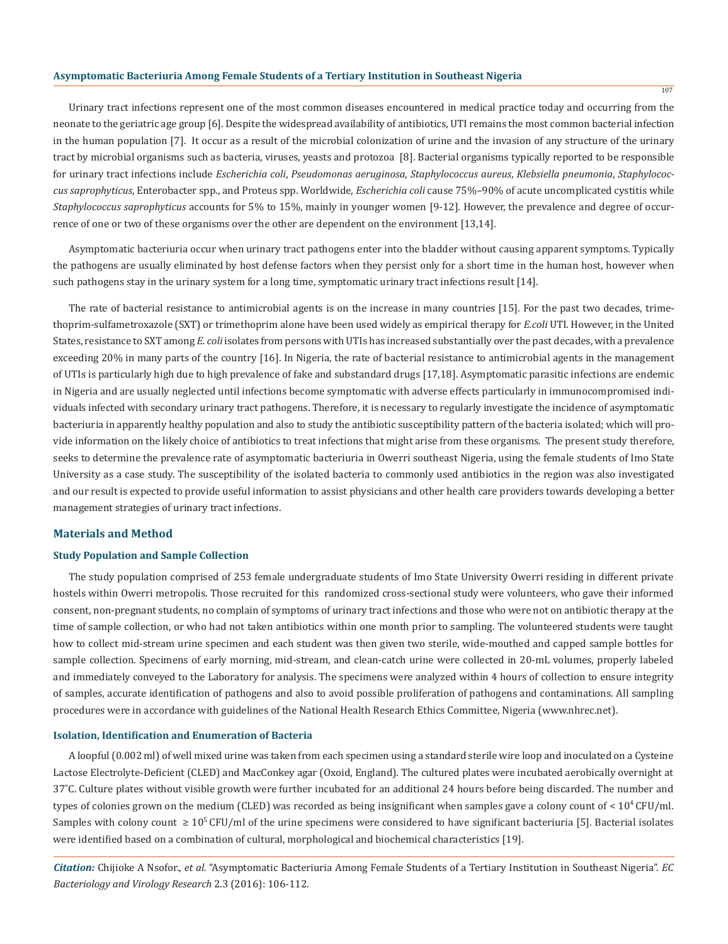Urinary tract infections represent one of the most common diseases encountered in medical practice today and occurring from the neonate to the geriatric age group [6]. Despite the widespread availability of antibiotics, UTI remains the most common bacterial infection in the human population [7]. It occur as a result of the microbial colonization of urine and the invasion of any structure of the urinary tract by microbial organisms such as bacteria, viruses, yeasts and protozoa [8]. Bacterial organisms typically reported to be responsible for urinary tract infections include *Escherichia coli*, *Pseudomonas aeruginosa*, *Staphylococcus aureus*, *Klebsiella pneumonia*, *Staphylococcus saprophyticus*, Enterobacter spp., and Proteus spp. Worldwide, *Escherichia coli* cause 75%–90% of acute uncomplicated cystitis while *Staphylococcus saprophyticus* accounts for 5% to 15%, mainly in younger women [9-12]. However, the prevalence and degree of occurrence of one or two of these organisms over the other are dependent on the environment [13,14].

Asymptomatic bacteriuria occur when urinary tract pathogens enter into the bladder without causing apparent symptoms. Typically the pathogens are usually eliminated by host defense factors when they persist only for a short time in the human host, however when such pathogens stay in the urinary system for a long time, symptomatic urinary tract infections result [14].

The rate of bacterial resistance to antimicrobial agents is on the increase in many countries [15]. For the past two decades, trimethoprim-sulfametroxazole (SXT) or trimethoprim alone have been used widely as empirical therapy for *E.coli* UTI. However, in the United States, resistance to SXT among *E. coli* isolates from persons with UTIs has increased substantially over the past decades, with a prevalence exceeding 20% in many parts of the country [16]. In Nigeria, the rate of bacterial resistance to antimicrobial agents in the management of UTIs is particularly high due to high prevalence of fake and substandard drugs [17,18]. Asymptomatic parasitic infections are endemic in Nigeria and are usually neglected until infections become symptomatic with adverse effects particularly in immunocompromised individuals infected with secondary urinary tract pathogens. Therefore, it is necessary to regularly investigate the incidence of asymptomatic bacteriuria in apparently healthy population and also to study the antibiotic susceptibility pattern of the bacteria isolated; which will provide information on the likely choice of antibiotics to treat infections that might arise from these organisms. The present study therefore, seeks to determine the prevalence rate of asymptomatic bacteriuria in Owerri southeast Nigeria, using the female students of Imo State University as a case study. The susceptibility of the isolated bacteria to commonly used antibiotics in the region was also investigated and our result is expected to provide useful information to assist physicians and other health care providers towards developing a better management strategies of urinary tract infections.

### **Materials and Method**

#### **Study Population and Sample Collection**

The study population comprised of 253 female undergraduate students of Imo State University Owerri residing in different private hostels within Owerri metropolis. Those recruited for this randomized cross-sectional study were volunteers, who gave their informed consent, non-pregnant students, no complain of symptoms of urinary tract infections and those who were not on antibiotic therapy at the time of sample collection, or who had not taken antibiotics within one month prior to sampling. The volunteered students were taught how to collect mid-stream urine specimen and each student was then given two sterile, wide-mouthed and capped sample bottles for sample collection. Specimens of early morning, mid-stream, and clean-catch urine were collected in 20-mL volumes, properly labeled and immediately conveyed to the Laboratory for analysis. The specimens were analyzed within 4 hours of collection to ensure integrity of samples, accurate identification of pathogens and also to avoid possible proliferation of pathogens and contaminations. All sampling procedures were in accordance with guidelines of the National Health Research Ethics Committee, Nigeria (www.nhrec.net).

#### **Isolation, Identification and Enumeration of Bacteria**

A loopful (0.002 ml) of well mixed urine was taken from each specimen using a standard sterile wire loop and inoculated on a Cysteine Lactose Electrolyte-Deficient (CLED) and MacConkey agar (Oxoid, England). The cultured plates were incubated aerobically overnight at 37˚C. Culture plates without visible growth were further incubated for an additional 24 hours before being discarded. The number and types of colonies grown on the medium (CLED) was recorded as being insignificant when samples gave a colony count of  $< 10^4$  CFU/ml. Samples with colony count  $\geq 10^5$  CFU/ml of the urine specimens were considered to have significant bacteriuria [5]. Bacterial isolates were identified based on a combination of cultural, morphological and biochemical characteristics [19].

*Citation:* Chijioke A Nsofor., *et al.* "Asymptomatic Bacteriuria Among Female Students of a Tertiary Institution in Southeast Nigeria". *EC Bacteriology and Virology Research* 2.3 (2016): 106-112.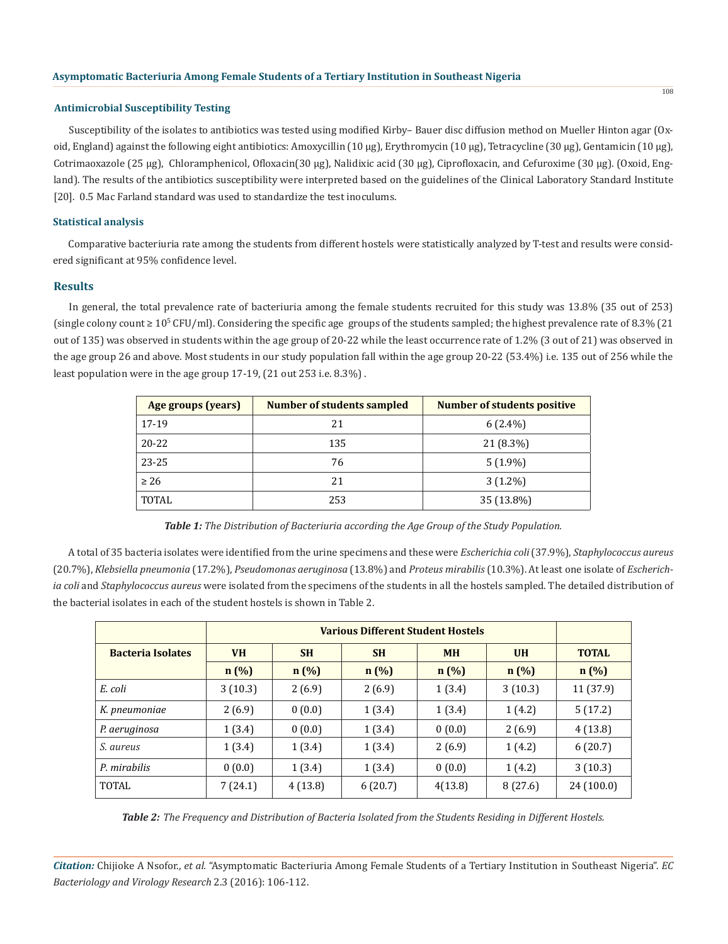#### **Antimicrobial Susceptibility Testing**

Susceptibility of the isolates to antibiotics was tested using modified Kirby– Bauer disc diffusion method on Mueller Hinton agar (Oxoid, England) against the following eight antibiotics: Amoxycillin (10 µg), Erythromycin (10 µg), Tetracycline (30 µg), Gentamicin (10 µg), Cotrimaoxazole (25 µg), Chloramphenicol, Ofloxacin(30 µg), Nalidixic acid (30 µg), Ciprofloxacin, and Cefuroxime (30 µg). (Oxoid, England). The results of the antibiotics susceptibility were interpreted based on the guidelines of the Clinical Laboratory Standard Institute [20]. 0.5 Mac Farland standard was used to standardize the test inoculums.

### **Statistical analysis**

Comparative bacteriuria rate among the students from different hostels were statistically analyzed by T-test and results were considered significant at 95% confidence level.

### **Results**

In general, the total prevalence rate of bacteriuria among the female students recruited for this study was 13.8% (35 out of 253) (single colony count ≥ 10<sup>5</sup> CFU/ml). Considering the specific age groups of the students sampled; the highest prevalence rate of 8.3% (21 out of 135) was observed in students within the age group of 20-22 while the least occurrence rate of 1.2% (3 out of 21) was observed in the age group 26 and above. Most students in our study population fall within the age group 20-22 (53.4%) i.e. 135 out of 256 while the least population were in the age group 17-19, (21 out 253 i.e. 8.3%) .

| Age groups (years) | <b>Number of students sampled</b> | <b>Number of students positive</b> |
|--------------------|-----------------------------------|------------------------------------|
| 17-19              | 21                                | $6(2.4\%)$                         |
| $20 - 22$          | 135                               | 21 (8.3%)                          |
| 23-25              | 76                                | $5(1.9\%)$                         |
| $\geq 26$          | 21                                | $3(1.2\%)$                         |
| <b>TOTAL</b>       | 253                               | 35 (13.8%)                         |

*Table 1: The Distribution of Bacteriuria according the Age Group of the Study Population.*

A total of 35 bacteria isolates were identified from the urine specimens and these were *Escherichia coli* (37.9%), *Staphylococcus aureus*  (20.7%), *Klebsiella pneumonia* (17.2%), *Pseudomonas aeruginosa* (13.8%) and *Proteus mirabilis* (10.3%). At least one isolate of *Escherichia coli* and *Staphylococcus aureus* were isolated from the specimens of the students in all the hostels sampled. The detailed distribution of the bacterial isolates in each of the student hostels is shown in Table 2.

| <b>Bacteria Isolates</b> | <b>VH</b> | <b>SH</b><br><b>SH</b> |         | <b>MH</b> | <b>UH</b> | <b>TOTAL</b> |  |
|--------------------------|-----------|------------------------|---------|-----------|-----------|--------------|--|
|                          | n(%)      | n(%)                   | $n(\%)$ | $n(\%)$   | n(%)      | $n(\%)$      |  |
| E. coli                  | 3(10.3)   | 2(6.9)                 | 2(6.9)  | 1(3.4)    | 3(10.3)   | 11 (37.9)    |  |
| K. pneumoniae            | 2(6.9)    | 0(0.0)                 | 1(3.4)  | 1(3.4)    | 1(4.2)    | 5(17.2)      |  |
| P. aeruginosa            | 1(3.4)    | 0(0.0)                 | 1(3.4)  | 0(0.0)    | 2(6.9)    | 4(13.8)      |  |
| <i>S.</i> aureus         | 1(3.4)    | 1(3.4)                 | 1(3.4)  | 2(6.9)    | 1(4.2)    | 6(20.7)      |  |
| P. mirabilis             | 0(0.0)    | 1(3.4)                 | 1(3.4)  | 0(0.0)    | 1(4.2)    | 3(10.3)      |  |
| <b>TOTAL</b>             | 7(24.1)   | 4(13.8)                | 6(20.7) | 4(13.8)   | 8(27.6)   | 24(100.0)    |  |

*Table 2: The Frequency and Distribution of Bacteria Isolated from the Students Residing in Different Hostels.*

*Citation:* Chijioke A Nsofor., *et al.* "Asymptomatic Bacteriuria Among Female Students of a Tertiary Institution in Southeast Nigeria". *EC Bacteriology and Virology Research* 2.3 (2016): 106-112.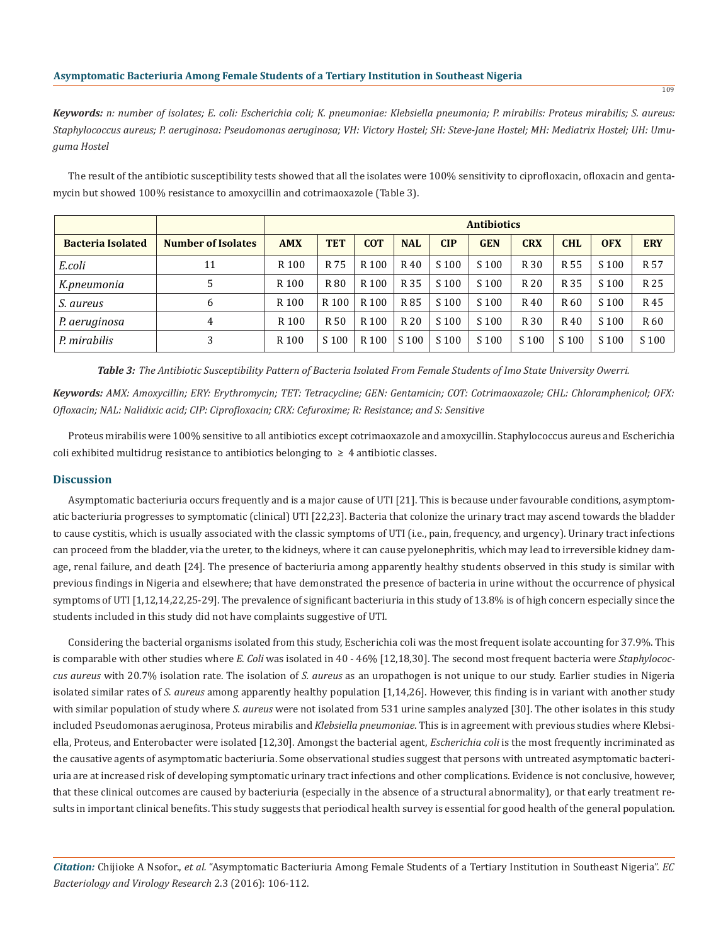*Keywords: n: number of isolates; E. coli: Escherichia coli; K. pneumoniae: Klebsiella pneumonia; P. mirabilis: Proteus mirabilis; S. aureus: Staphylococcus aureus; P. aeruginosa: Pseudomonas aeruginosa; VH: Victory Hostel; SH: Steve-Jane Hostel; MH: Mediatrix Hostel; UH: Umuguma Hostel*

The result of the antibiotic susceptibility tests showed that all the isolates were 100% sensitivity to ciprofloxacin, ofloxacin and gentamycin but showed 100% resistance to amoxycillin and cotrimaoxazole (Table 3).

|                          |                           | <b>Antibiotics</b> |            |                  |            |                  |            |            |            |                  |                 |
|--------------------------|---------------------------|--------------------|------------|------------------|------------|------------------|------------|------------|------------|------------------|-----------------|
| <b>Bacteria Isolated</b> | <b>Number of Isolates</b> | <b>AMX</b>         | <b>TET</b> | <b>COT</b>       | <b>NAL</b> | <b>CIP</b>       | <b>GEN</b> | <b>CRX</b> | <b>CHL</b> | <b>OFX</b>       | <b>ERY</b>      |
| E.coli                   | 11                        | R <sub>100</sub>   | R 75       | R 100            | R 40       | S <sub>100</sub> | S 100      | R 30       | R 55       | S 100            | R <sub>57</sub> |
| K.pneumonia              | 5                         | R <sub>100</sub>   | R 80       | R 100            | R 35       | S <sub>100</sub> | S 100      | R 20       | R 35       | S 100            | R 25            |
| S. aureus                | 6                         | R <sub>100</sub>   | R 100      | R 100            | R 85       | S 100            | S 100      | R 40       | R 60       | S 100            | R 45            |
| P. aeruginosa            | 4                         | R 100              | R 50       | R 100            | R 20       | S 100            | S 100      | R 30       | R 40       | S 100            | R <sub>60</sub> |
| P. mirabilis             | 3                         | R <sub>100</sub>   | S 100      | R <sub>100</sub> | S 100      | S 100            | S 100      | S 100      | S 100      | S <sub>100</sub> | S 100           |

*Table 3: The Antibiotic Susceptibility Pattern of Bacteria Isolated From Female Students of Imo State University Owerri.*

*Keywords: AMX: Amoxycillin; ERY: Erythromycin; TET: Tetracycline; GEN: Gentamicin; COT: Cotrimaoxazole; CHL: Chloramphenicol; OFX: Ofloxacin; NAL: Nalidixic acid; CIP: Ciprofloxacin; CRX: Cefuroxime; R: Resistance; and S: Sensitive*

Proteus mirabilis were 100% sensitive to all antibiotics except cotrimaoxazole and amoxycillin. Staphylococcus aureus and Escherichia coli exhibited multidrug resistance to antibiotics belonging to  $\geq 4$  antibiotic classes.

### **Discussion**

Asymptomatic bacteriuria occurs frequently and is a major cause of UTI [21]. This is because under favourable conditions, asymptomatic bacteriuria progresses to symptomatic (clinical) UTI [22,23]. Bacteria that colonize the urinary tract may ascend towards the bladder to cause cystitis, which is usually associated with the classic symptoms of UTI (i.e., pain, frequency, and urgency). Urinary tract infections can proceed from the bladder, via the ureter, to the kidneys, where it can cause pyelonephritis, which may lead to irreversible kidney damage, renal failure, and death [24]. The presence of bacteriuria among apparently healthy students observed in this study is similar with previous findings in Nigeria and elsewhere; that have demonstrated the presence of bacteria in urine without the occurrence of physical symptoms of UTI [1,12,14,22,25-29]. The prevalence of significant bacteriuria in this study of 13.8% is of high concern especially since the students included in this study did not have complaints suggestive of UTI.

Considering the bacterial organisms isolated from this study, Escherichia coli was the most frequent isolate accounting for 37.9%. This is comparable with other studies where *E. Coli* was isolated in 40 - 46% [12,18,30]. The second most frequent bacteria were *Staphylococcus aureus* with 20.7% isolation rate. The isolation of *S. aureus* as an uropathogen is not unique to our study. Earlier studies in Nigeria isolated similar rates of *S. aureus* among apparently healthy population [1,14,26]. However, this finding is in variant with another study with similar population of study where *S. aureus* were not isolated from 531 urine samples analyzed [30]. The other isolates in this study included Pseudomonas aeruginosa, Proteus mirabilis and *Klebsiella pneumoniae*. This is in agreement with previous studies where Klebsiella, Proteus, and Enterobacter were isolated [12,30]. Amongst the bacterial agent, *Escherichia coli* is the most frequently incriminated as the causative agents of asymptomatic bacteriuria. Some observational studies suggest that persons with untreated asymptomatic bacteriuria are at increased risk of developing symptomatic urinary tract infections and other complications. Evidence is not conclusive, however, that these clinical outcomes are caused by bacteriuria (especially in the absence of a structural abnormality), or that early treatment results in important clinical benefits. This study suggests that periodical health survey is essential for good health of the general population.

*Citation:* Chijioke A Nsofor., *et al.* "Asymptomatic Bacteriuria Among Female Students of a Tertiary Institution in Southeast Nigeria". *EC Bacteriology and Virology Research* 2.3 (2016): 106-112.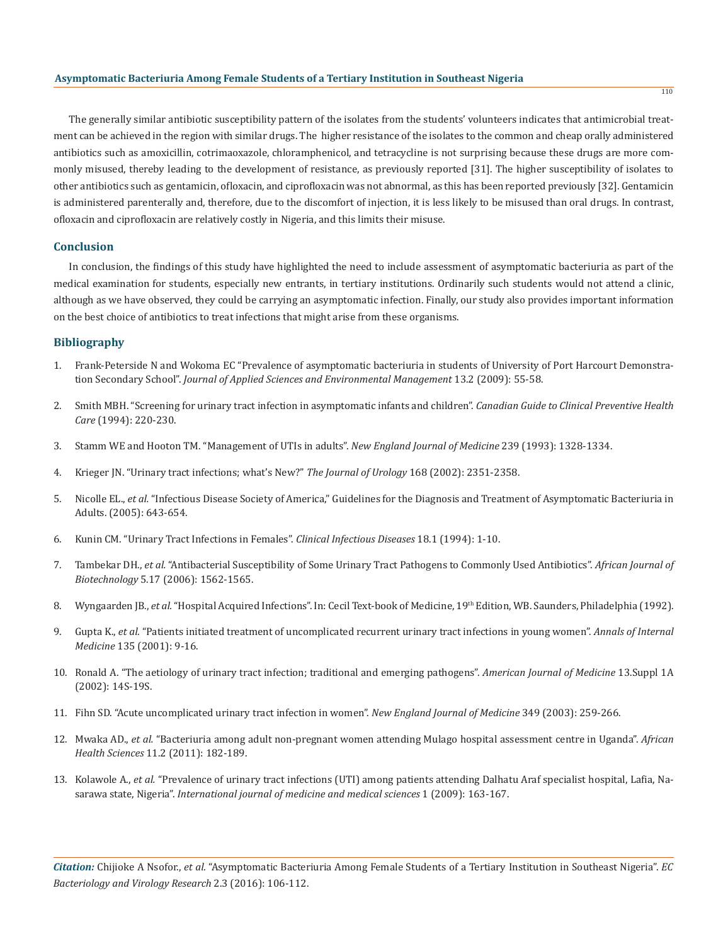The generally similar antibiotic susceptibility pattern of the isolates from the students' volunteers indicates that antimicrobial treatment can be achieved in the region with similar drugs. The higher resistance of the isolates to the common and cheap orally administered antibiotics such as amoxicillin, cotrimaoxazole, chloramphenicol, and tetracycline is not surprising because these drugs are more commonly misused, thereby leading to the development of resistance, as previously reported [31]. The higher susceptibility of isolates to other antibiotics such as gentamicin, ofloxacin, and ciprofloxacin was not abnormal, as this has been reported previously [32]. Gentamicin is administered parenterally and, therefore, due to the discomfort of injection, it is less likely to be misused than oral drugs. In contrast, ofloxacin and ciprofloxacin are relatively costly in Nigeria, and this limits their misuse.

#### **Conclusion**

In conclusion, the findings of this study have highlighted the need to include assessment of asymptomatic bacteriuria as part of the medical examination for students, especially new entrants, in tertiary institutions. Ordinarily such students would not attend a clinic, although as we have observed, they could be carrying an asymptomatic infection. Finally, our study also provides important information on the best choice of antibiotics to treat infections that might arise from these organisms.

# **Bibliography**

- 1. Frank-Peterside N and Wokoma EC "Prevalence of asymptomatic bacteriuria in students of University of Port Harcourt Demonstration Secondary School". *Journal of Applied Sciences and Environmental Management* 13.2 (2009): 55-58.
- 2. Smith MBH. "Screening for urinary tract infection in asymptomatic infants and children". *Canadian Guide to Clinical Preventive Health Care* (1994): 220-230.
- 3. Stamm WE and Hooton TM. "Management of UTIs in adults". *New England Journal of Medicine* 239 (1993): 1328-1334.
- 4. Krieger JN. "Urinary tract infections; what's New?" *The Journal of Urology* 168 (2002): 2351-2358.
- 5. Nicolle EL., *et al.* "Infectious Disease Society of America," Guidelines for the Diagnosis and Treatment of Asymptomatic Bacteriuria in Adults. (2005): 643-654.
- 6. Kunin CM. "Urinary Tract Infections in Females". *Clinical Infectious Diseases* 18.1 (1994): 1-10.
- 7. Tambekar DH., *et al.* "Antibacterial Susceptibility of Some Urinary Tract Pathogens to Commonly Used Antibiotics". *African Journal of Biotechnology* 5.17 (2006): 1562-1565.
- 8. Wyngaarden JB., et al. "Hospital Acquired Infections". In: Cecil Text-book of Medicine, 19<sup>th</sup> Edition, WB. Saunders, Philadelphia (1992).
- 9. Gupta K., *et al.* "Patients initiated treatment of uncomplicated recurrent urinary tract infections in young women". *Annals of Internal Medicine* 135 (2001): 9-16.
- 10. Ronald A. "The aetiology of urinary tract infection; traditional and emerging pathogens". *American Journal of Medicine* 13.Suppl 1A (2002): 14S-19S.
- 11. Fihn SD. "Acute uncomplicated urinary tract infection in women". *New England Journal of Medicine* 349 (2003): 259-266.
- 12. Mwaka AD., *et al.* "Bacteriuria among adult non-pregnant women attending Mulago hospital assessment centre in Uganda". *African Health Sciences* 11.2 (2011): 182-189.
- 13. Kolawole A., *et al.* "Prevalence of urinary tract infections (UTI) among patients attending Dalhatu Araf specialist hospital, Lafia, Nasarawa state, Nigeria". *International journal of medicine and medical sciences* 1 (2009): 163-167.

*Citation:* Chijioke A Nsofor., *et al.* "Asymptomatic Bacteriuria Among Female Students of a Tertiary Institution in Southeast Nigeria". *EC Bacteriology and Virology Research* 2.3 (2016): 106-112.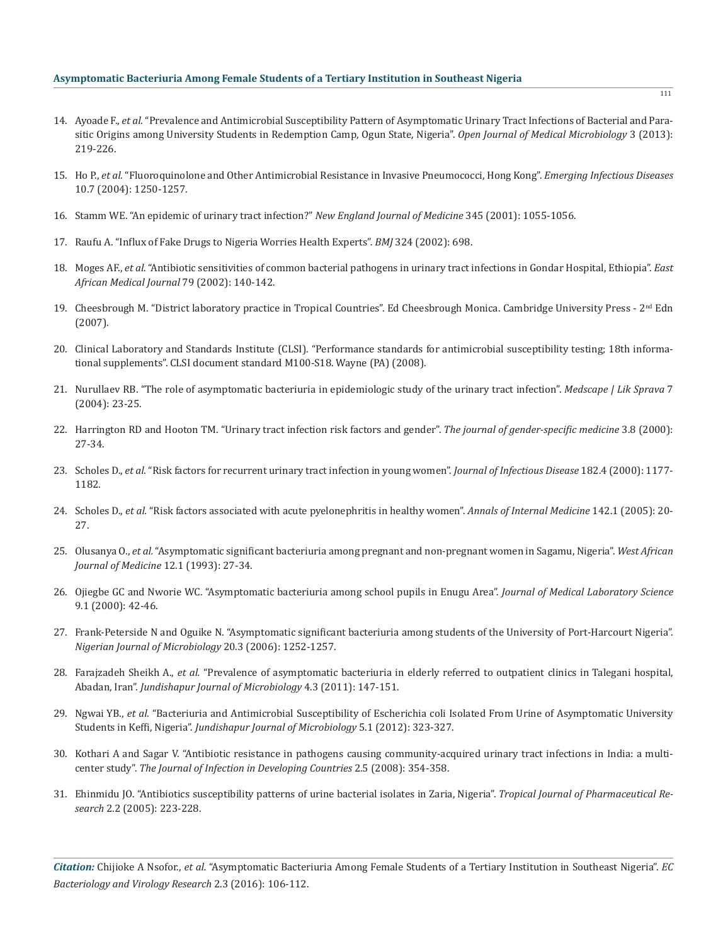- 14. Ayoade F., *et al.* "Prevalence and Antimicrobial Susceptibility Pattern of Asymptomatic Urinary Tract Infections of Bacterial and Parasitic Origins among University Students in Redemption Camp, Ogun State, Nigeria". *Open Journal of Medical Microbiology* 3 (2013): 219-226.
- 15. Ho P., *et al.* "Fluoroquinolone and Other Antimicrobial Resistance in Invasive Pneumococci, Hong Kong". *Emerging Infectious Diseases* 10.7 (2004): 1250-1257.
- 16. Stamm WE. "An epidemic of urinary tract infection?" *New England Journal of Medicine* 345 (2001): 1055-1056.
- 17. Raufu A. "Influx of Fake Drugs to Nigeria Worries Health Experts". *BMJ* 324 (2002): 698.
- 18. Moges AF., *et al.* "Antibiotic sensitivities of common bacterial pathogens in urinary tract infections in Gondar Hospital, Ethiopia". *East African Medical Journal* 79 (2002): 140-142.
- 19. Cheesbrough M. "District laboratory practice in Tropical Countries". Ed Cheesbrough Monica. Cambridge University Press  $2<sup>nd</sup>$  Edn (2007).
- 20. Clinical Laboratory and Standards Institute (CLSI). "Performance standards for antimicrobial susceptibility testing; 18th informational supplements". CLSI document standard M100-S18. Wayne (PA) (2008).
- 21. Nurullaev RB. "The role of asymptomatic bacteriuria in epidemiologic study of the urinary tract infection". *Medscape | Lik Sprava* 7 (2004): 23-25.
- 22. Harrington RD and Hooton TM. "Urinary tract infection risk factors and gender". *The journal of gender-specific medicine* 3.8 (2000): 27-34.
- 23. Scholes D., *et al.* "Risk factors for recurrent urinary tract infection in young women". *Journal of Infectious Disease* 182.4 (2000): 1177- 1182.
- 24. Scholes D., *et al.* "Risk factors associated with acute pyelonephritis in healthy women". *Annals of Internal Medicine* 142.1 (2005): 20- 27.
- 25. Olusanya O., *et al.* "Asymptomatic significant bacteriuria among pregnant and non-pregnant women in Sagamu, Nigeria". *West African Journal of Medicine* 12.1 (1993): 27-34.
- 26. Ojiegbe GC and Nworie WC. "Asymptomatic bacteriuria among school pupils in Enugu Area". *Journal of Medical Laboratory Science* 9.1 (2000): 42-46.
- 27. Frank-Peterside N and Oguike N. "Asymptomatic significant bacteriuria among students of the University of Port-Harcourt Nigeria". *Nigerian Journal of Microbiology* 20.3 (2006): 1252-1257.
- 28. Farajzadeh Sheikh A., *et al.* "Prevalence of asymptomatic bacteriuria in elderly referred to outpatient clinics in Talegani hospital, Abadan, Iran". *Jundishapur Journal of Microbiology* 4.3 (2011): 147-151.
- 29. Ngwai YB., *et al.* "Bacteriuria and Antimicrobial Susceptibility of Escherichia coli Isolated From Urine of Asymptomatic University Students in Keffi, Nigeria". *Jundishapur Journal of Microbiology* 5.1 (2012): 323-327.
- 30. Kothari A and Sagar V. "Antibiotic resistance in pathogens causing community-acquired urinary tract infections in India: a multicenter study". *The Journal of Infection in Developing Countries* 2.5 (2008): 354-358.
- 31. Ehinmidu JO. "Antibiotics susceptibility patterns of urine bacterial isolates in Zaria, Nigeria". *Tropical Journal of Pharmaceutical Research* 2.2 (2005): 223-228.

*Citation:* Chijioke A Nsofor., *et al.* "Asymptomatic Bacteriuria Among Female Students of a Tertiary Institution in Southeast Nigeria". *EC Bacteriology and Virology Research* 2.3 (2016): 106-112.